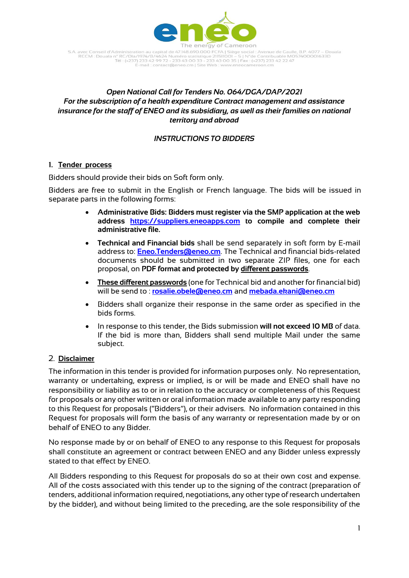

S.A. avec Conseil d'Administration au capital de 47.148.690.000 FCFA | Siège social : Avenue de Gaulle, B.P. 4077 – Douala<br>RCCM : Douala n° RC/Dla/1974/B/4624 Numéro statistique 211511001 – S | N°de Contribuable M057400001 -mail: contact@eneo.cm | Site Web : www.er

### *Open National Call for Tenders No. 064/DGA/DAP/2021 For the subscription of a health expenditure Contract management and assistance insurance for the staff of ENEO and its subsidiary, as well as their families on national territory and abroad*

### *INSTRUCTIONS TO BIDDERS*

### **1. Tender process**

Bidders should provide their bids on Soft form only.

Bidders are free to submit in the English or French language. The bids will be issued in separate parts in the following forms:

- **Administrative Bids: Bidders must register via the SMP application at the web address [https://suppliers.eneoapps.com](https://suppliers.eneoapps.com/) to compile and complete their administrative file.**
- **Technical and Financial bids** shall be send separately in soft form by E-mail address to: **[Eneo.Tenders@eneo.cm](mailto:Eneo.Tenders@eneo.cm)**. The Technical and financial bids-related documents should be submitted in two separate ZIP files, one for each proposal, on **PDF format and protected by different passwords**.
- **These different passwords** (one for Technical bid and another for financial bid) will be send to : **[rosalie.obele@eneo.cm](mailto:rosalie.obele@eneo.cm)** and **[mebada.ekani@eneo.cm](mailto:mebada.ekani@eneo.cm)**
- Bidders shall organize their response in the same order as specified in the bids forms.
- In response to this tender, the Bids submission **will not exceed 10 MB** of data. If the bid is more than, Bidders shall send multiple Mail under the same subject.

### 2. **Disclaimer**

The information in this tender is provided for information purposes only. No representation, warranty or undertaking, express or implied, is or will be made and ENEO shall have no responsibility or liability as to or in relation to the accuracy or completeness of this Request for proposals or any other written or oral information made available to any party responding to this Request for proposals ("Bidders"), or their advisers. No information contained in this Request for proposals will form the basis of any warranty or representation made by or on behalf of ENEO to any Bidder.

No response made by or on behalf of ENEO to any response to this Request for proposals shall constitute an agreement or contract between ENEO and any Bidder unless expressly stated to that effect by ENEO.

All Bidders responding to this Request for proposals do so at their own cost and expense. All of the costs associated with this tender up to the signing of the contract (preparation of tenders, additional information required, negotiations, any other type of research undertaken by the bidder), and without being limited to the preceding, are the sole responsibility of the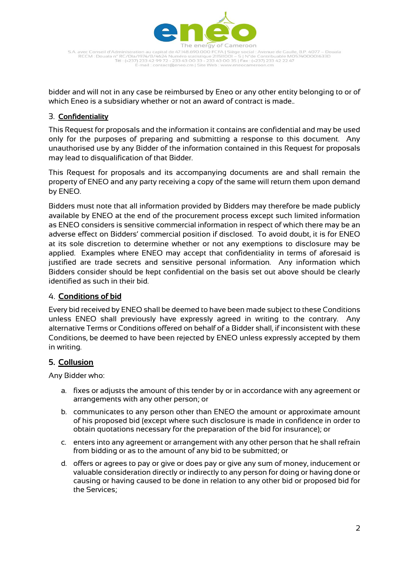

S.A. avec Conseil d'Administration au capital de 47.148.690.000 FCFA | Siège social : Avenue de Gaulle, B.P. 4077 – Douala<br>RCCM : Douala n° RC/Dla/1974/B/4624 Numéro statistique 211511001 – S | N°de Contribuable M057400001 -mail: contact@eneo.cm | Site Web : www.eneocameroon.cm

bidder and will not in any case be reimbursed by Eneo or any other entity belonging to or of which Eneo is a subsidiary whether or not an award of contract is made..

## 3. **Confidentiality**

This Request for proposals and the information it contains are confidential and may be used only for the purposes of preparing and submitting a response to this document. Any unauthorised use by any Bidder of the information contained in this Request for proposals may lead to disqualification of that Bidder.

This Request for proposals and its accompanying documents are and shall remain the property of ENEO and any party receiving a copy of the same will return them upon demand by ENEO.

Bidders must note that all information provided by Bidders may therefore be made publicly available by ENEO at the end of the procurement process except such limited information as ENEO considers is sensitive commercial information in respect of which there may be an adverse effect on Bidders' commercial position if disclosed. To avoid doubt, it is for ENEO at its sole discretion to determine whether or not any exemptions to disclosure may be applied. Examples where ENEO may accept that confidentiality in terms of aforesaid is justified are trade secrets and sensitive personal information. Any information which Bidders consider should be kept confidential on the basis set out above should be clearly identified as such in their bid.

### 4. **Conditions of bid**

Every bid received by ENEO shall be deemed to have been made subject to these Conditions unless ENEO shall previously have expressly agreed in writing to the contrary. Any alternative Terms or Conditions offered on behalf of a Bidder shall, if inconsistent with these Conditions, be deemed to have been rejected by ENEO unless expressly accepted by them in writing.

# **5. Collusion**

Any Bidder who:

- a. fixes or adjusts the amount of this tender by or in accordance with any agreement or arrangements with any other person; or
- b. communicates to any person other than ENEO the amount or approximate amount of his proposed bid (except where such disclosure is made in confidence in order to obtain quotations necessary for the preparation of the bid for insurance); or
- c. enters into any agreement or arrangement with any other person that he shall refrain from bidding or as to the amount of any bid to be submitted; or
- d. offers or agrees to pay or give or does pay or give any sum of money, inducement or valuable consideration directly or indirectly to any person for doing or having done or causing or having caused to be done in relation to any other bid or proposed bid for the Services;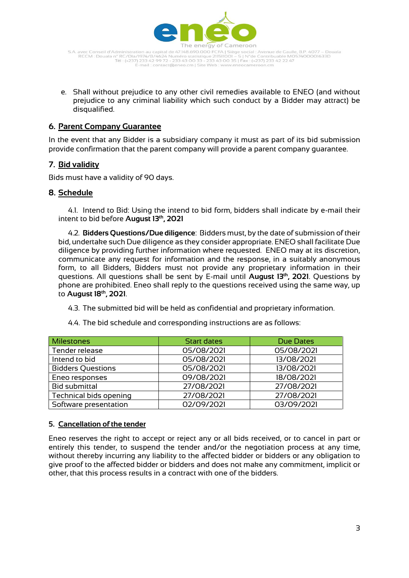

S.A. avec Conseil d'Administration au capital de 47.148.690.000 FCFA | Siège social : Avenue de Gaulle, B.P. 4077 – Douala<br>RCCM : Douala n° RC/Dla/1974/B/4624 Numéro statistique 211511001 – S | N°de Contribuable M057400001 -mail: contact@eneo.cm | Site Web : www.eneocameroon.cm

e. Shall without prejudice to any other civil remedies available to ENEO (and without prejudice to any criminal liability which such conduct by a Bidder may attract) be disqualified.

## **6. Parent Company Guarantee**

In the event that any Bidder is a subsidiary company it must as part of its bid submission provide confirmation that the parent company will provide a parent company guarantee.

### **7. Bid validity**

Bids must have a validity of 90 days.

### **8. Schedule**

4.1. Intend to Bid: Using the intend to bid form, bidders shall indicate by e-mail their intent to bid before **August 13 th, 2021**

4.2. **Bidders Questions/Due diligence**: Bidders must, by the date of submission of their bid, undertake such Due diligence as they consider appropriate. ENEO shall facilitate Due diligence by providing further information where requested. ENEO may at its discretion, communicate any request for information and the response, in a suitably anonymous form, to all Bidders, Bidders must not provide any proprietary information in their questions. All questions shall be sent by E-mail until **August 13 th, 2021**. Questions by phone are prohibited. Eneo shall reply to the questions received using the same way, up to **August 18th, 2021**.

4.3. The submitted bid will be held as confidential and proprietary information.

| <b>Milestones</b>        | <b>Start dates</b> | <b>Due Dates</b> |
|--------------------------|--------------------|------------------|
| Tender release           | 05/08/2021         | 05/08/2021       |
| Intend to bid            | 05/08/2021         | 13/08/2021       |
| <b>Bidders Questions</b> | 05/08/2021         | 13/08/2021       |
| Eneo responses           | 09/08/2021         | 18/08/2021       |
| <b>Bid submittal</b>     | 27/08/2021         | 27/08/2021       |
| Technical bids opening   | 27/08/2021         | 27/08/2021       |
| Software presentation    | 02/09/2021         | 03/09/2021       |

4.4. The bid schedule and corresponding instructions are as follows:

### **5. Cancellation of the tender**

Eneo reserves the right to accept or reject any or all bids received, or to cancel in part or entirely this tender, to suspend the tender and/or the negotiation process at any time, without thereby incurring any liability to the affected bidder or bidders or any obligation to give proof to the affected bidder or bidders and does not make any commitment, implicit or other, that this process results in a contract with one of the bidders.